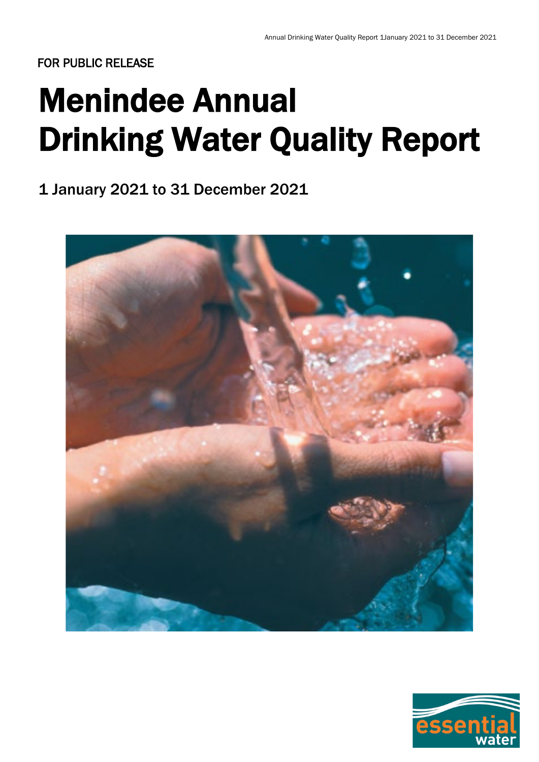# Menindee Annual Drinking Water Quality Report

1 January 2021 to 31 December 2021



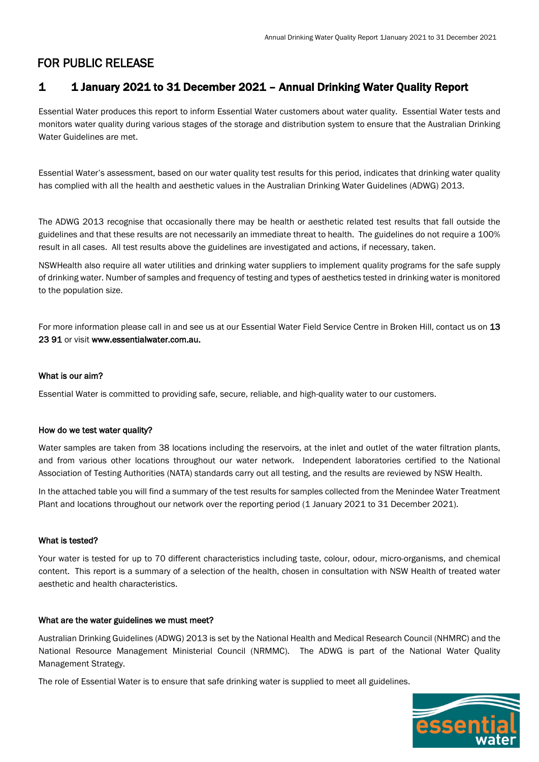## 1 1 January 2021 to 31 December 2021 – Annual Drinking Water Quality Report

Essential Water produces this report to inform Essential Water customers about water quality. Essential Water tests and monitors water quality during various stages of the storage and distribution system to ensure that the Australian Drinking Water Guidelines are met.

Essential Water's assessment, based on our water quality test results for this period, indicates that drinking water quality has complied with all the health and aesthetic values in the Australian Drinking Water Guidelines (ADWG) 2013.

The ADWG 2013 recognise that occasionally there may be health or aesthetic related test results that fall outside the guidelines and that these results are not necessarily an immediate threat to health. The guidelines do not require a 100% result in all cases. All test results above the guidelines are investigated and actions, if necessary, taken.

NSWHealth also require all water utilities and drinking water suppliers to implement quality programs for the safe supply of drinking water. Number of samples and frequency of testing and types of aesthetics tested in drinking water is monitored to the population size.

For more information please call in and see us at our Essential Water Field Service Centre in Broken Hill, contact us on 13 23 91 or visit www.essentialwater.com.au.

#### What is our aim?

Essential Water is committed to providing safe, secure, reliable, and high-quality water to our customers.

#### How do we test water quality?

Water samples are taken from 38 locations including the reservoirs, at the inlet and outlet of the water filtration plants, and from various other locations throughout our water network. Independent laboratories certified to the National Association of Testing Authorities (NATA) standards carry out all testing, and the results are reviewed by NSW Health.

In the attached table you will find a summary of the test results for samples collected from the Menindee Water Treatment Plant and locations throughout our network over the reporting period (1 January 2021 to 31 December 2021).

#### What is tested?

Your water is tested for up to 70 different characteristics including taste, colour, odour, micro-organisms, and chemical content. This report is a summary of a selection of the health, chosen in consultation with NSW Health of treated water aesthetic and health characteristics.

#### What are the water guidelines we must meet?

Australian Drinking Guidelines (ADWG) 2013 is set by the National Health and Medical Research Council (NHMRC) and the National Resource Management Ministerial Council (NRMMC). The ADWG is part of the National Water Quality Management Strategy.

The role of Essential Water is to ensure that safe drinking water is supplied to meet all guidelines.

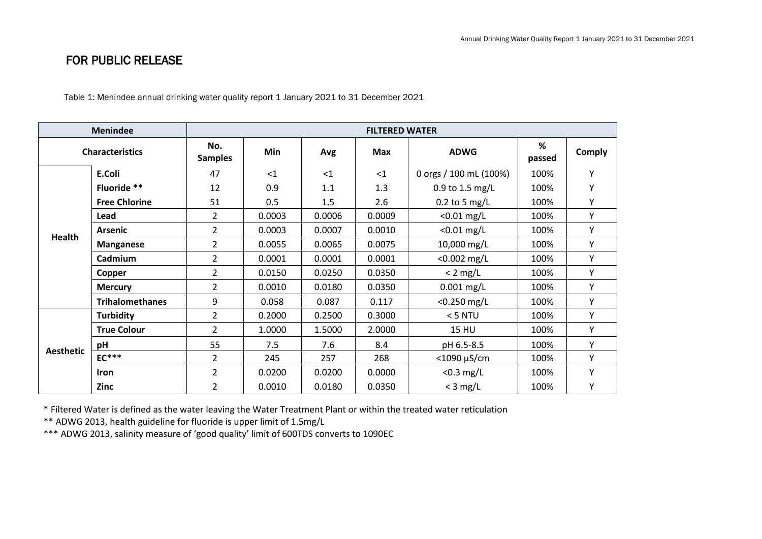Table 1: Menindee annual drinking water quality report 1 January 2021 to 31 December 2021

| <b>Menindee</b>        |                        | <b>FILTERED WATER</b> |        |          |            |                        |             |               |
|------------------------|------------------------|-----------------------|--------|----------|------------|------------------------|-------------|---------------|
| <b>Characteristics</b> |                        | No.<br><b>Samples</b> | Min    | Avg      | <b>Max</b> | <b>ADWG</b>            | %<br>passed | <b>Comply</b> |
| <b>Health</b>          | E.Coli                 | 47                    | $<$ 1  | $\leq$ 1 | $<$ 1      | 0 orgs / 100 mL (100%) | 100%        | Υ             |
|                        | Fluoride **            | 12                    | 0.9    | 1.1      | 1.3        | 0.9 to 1.5 mg/L        | 100%        | Υ             |
|                        | <b>Free Chlorine</b>   | 51                    | 0.5    | 1.5      | 2.6        | $0.2$ to 5 mg/L        | 100%        | Υ             |
|                        | Lead                   | $\overline{2}$        | 0.0003 | 0.0006   | 0.0009     | $<$ 0.01 mg/L          | 100%        | Υ             |
|                        | <b>Arsenic</b>         | $\overline{2}$        | 0.0003 | 0.0007   | 0.0010     | $< 0.01$ mg/L          | 100%        | Υ             |
|                        | <b>Manganese</b>       | $\overline{2}$        | 0.0055 | 0.0065   | 0.0075     | 10,000 mg/L            | 100%        | Υ             |
|                        | Cadmium                | $\overline{2}$        | 0.0001 | 0.0001   | 0.0001     | $< 0.002$ mg/L         | 100%        | Υ             |
|                        | Copper                 | $\overline{2}$        | 0.0150 | 0.0250   | 0.0350     | $< 2$ mg/L             | 100%        | Υ             |
|                        | <b>Mercury</b>         | $\overline{2}$        | 0.0010 | 0.0180   | 0.0350     | $0.001$ mg/L           | 100%        | Υ             |
|                        | <b>Trihalomethanes</b> | 9                     | 0.058  | 0.087    | 0.117      | $<$ 0.250 mg/L         | 100%        | Υ             |
| <b>Aesthetic</b>       | <b>Turbidity</b>       | 2                     | 0.2000 | 0.2500   | 0.3000     | $<$ 5 NTU              | 100%        | Υ             |
|                        | <b>True Colour</b>     | $\overline{2}$        | 1.0000 | 1.5000   | 2.0000     | <b>15 HU</b>           | 100%        | Υ             |
|                        | pH                     | 55                    | 7.5    | 7.6      | 8.4        | pH 6.5-8.5             | 100%        | Υ             |
|                        | $EC***$                | $\overline{2}$        | 245    | 257      | 268        | $<$ 1090 µS/cm         | 100%        | Υ             |
|                        | Iron                   | $\overline{2}$        | 0.0200 | 0.0200   | 0.0000     | $<$ 0.3 mg/L           | 100%        | Υ             |
|                        | Zinc                   | $\overline{2}$        | 0.0010 | 0.0180   | 0.0350     | $<$ 3 mg/L             | 100%        | Υ             |

\* Filtered Water is defined as the water leaving the Water Treatment Plant or within the treated water reticulation

\*\* ADWG 2013, health guideline for fluoride is upper limit of 1.5mg/L

\*\*\* ADWG 2013, salinity measure of 'good quality' limit of 600TDS converts to 1090EC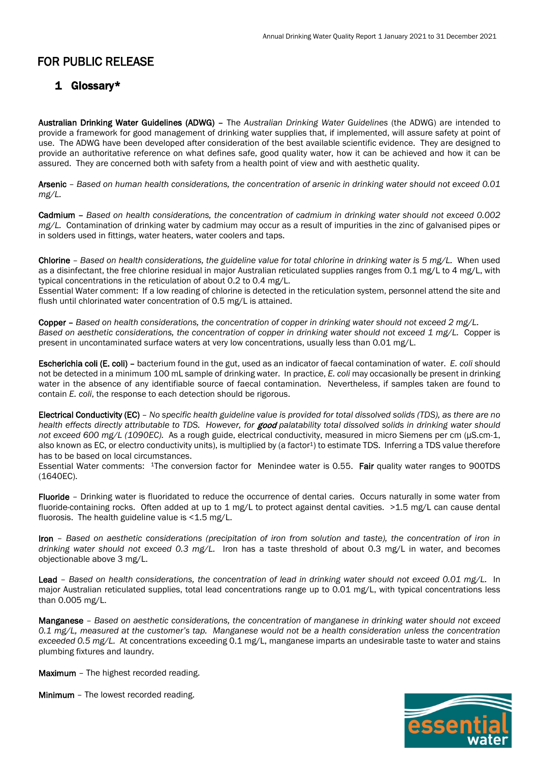### 1 Glossary\*

Australian Drinking Water Guidelines (ADWG) – The *Australian Drinking Water Guidelines* (the ADWG) are intended to provide a framework for good management of drinking water supplies that, if implemented, will assure safety at point of use. The ADWG have been developed after consideration of the best available scientific evidence. They are designed to provide an authoritative reference on what defines safe, good quality water, how it can be achieved and how it can be assured. They are concerned both with safety from a health point of view and with aesthetic quality.

Arsenic – *Based on human health considerations, the concentration of arsenic in drinking water should not exceed 0.01 mg/L.*

Cadmium – *Based on health considerations, the concentration of cadmium in drinking water should not exceed 0.002 mg/L.* Contamination of drinking water by cadmium may occur as a result of impurities in the zinc of galvanised pipes or in solders used in fittings, water heaters, water coolers and taps.

Chlorine – *Based on health considerations, the guideline value for total chlorine in drinking water is 5 mg/L.* When used as a disinfectant, the free chlorine residual in major Australian reticulated supplies ranges from 0.1 mg/L to 4 mg/L, with typical concentrations in the reticulation of about 0.2 to 0.4 mg/L.

Essential Water comment: If a low reading of chlorine is detected in the reticulation system, personnel attend the site and flush until chlorinated water concentration of 0.5 mg/L is attained.

Copper – *Based on health considerations, the concentration of copper in drinking water should not exceed 2 mg/L. Based on aesthetic considerations, the concentration of copper in drinking water should not exceed 1 mg/L.* Copper is present in uncontaminated surface waters at very low concentrations, usually less than 0.01 mg/L.

Escherichia coli (E. coli) – bacterium found in the gut, used as an indicator of faecal contamination of water. *E. coli* should not be detected in a minimum 100 mL sample of drinking water. In practice, *E. coli* may occasionally be present in drinking water in the absence of any identifiable source of faecal contamination. Nevertheless, if samples taken are found to contain *E. coli*, the response to each detection should be rigorous.

Electrical Conductivity (EC) – *No specific health guideline value is provided for total dissolved solids (TDS), as there are no health effects directly attributable to TDS. However, for* good *palatability total dissolved solids in drinking water should not exceed 600 mg/L (1090EC).* As a rough guide, electrical conductivity, measured in micro Siemens per cm (μS.cm-1, also known as EC, or electro conductivity units), is multiplied by (a factor<sup>1</sup>) to estimate TDS. Inferring a TDS value therefore has to be based on local circumstances.

Essential Water comments: <sup>1</sup>The conversion factor for Menindee water is 0.55. Fair quality water ranges to 900TDS (1640EC).

Fluoride – Drinking water is fluoridated to reduce the occurrence of dental caries. Occurs naturally in some water from fluoride-containing rocks. Often added at up to 1 mg/L to protect against dental cavities. >1.5 mg/L can cause dental fluorosis. The health guideline value is  $<$  1.5 mg/L.

Iron – *Based on aesthetic considerations (precipitation of iron from solution and taste), the concentration of iron in drinking water should not exceed 0.3 mg/L.* Iron has a taste threshold of about 0.3 mg/L in water, and becomes objectionable above 3 mg/L.

Lead – *Based on health considerations, the concentration of lead in drinking water should not exceed 0.01 mg/L.* In major Australian reticulated supplies, total lead concentrations range up to 0.01 mg/L, with typical concentrations less than 0.005 mg/L.

Manganese – *Based on aesthetic considerations, the concentration of manganese in drinking water should not exceed 0.1 mg/L, measured at the customer's tap. Manganese would not be a health consideration unless the concentration exceeded 0.5 mg/L.* At concentrations exceeding 0.1 mg/L, manganese imparts an undesirable taste to water and stains plumbing fixtures and laundry.

Maximum - The highest recorded reading.

Minimum – The lowest recorded reading.